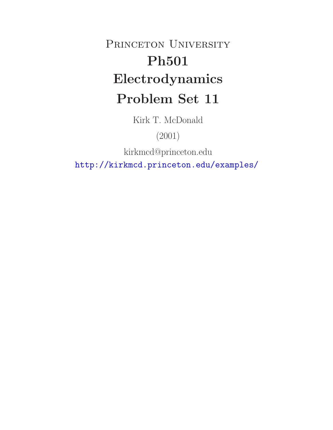# PRINCETON UNIVERSITY **Ph501 Electrodynamics Problem Set 11**

Kirk T. McDonald

(2001)

kirkmcd@princeton.edu

http://kirkmcd.princeton.edu/examples/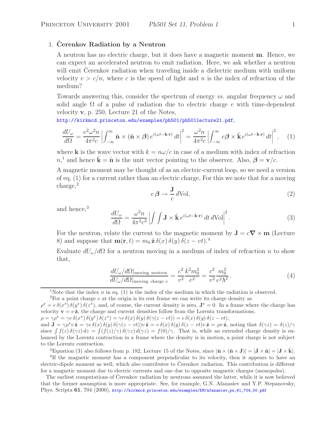### 1. **Cerenkov Radiation by a Neutron**

A neutron has no electric charge, but it does have a magnetic moment **m**. Hence, we can expect an accelerated neutron to emit radiation. Here, we ask whether a neutron will emit Cerenkov radiation when traveling inside a dielectric medium with uniform velocity  $v > c/n$ , where c is the speed of light and n is the index of refraction of the medium?

Towards answering this, consider the spectrum of energy *vs.* angular frequency  $\omega$  and solid angle  $\Omega$  of a pulse of radiation due to electric charge e with time-dependent velocity **v**, p. 250, Lecture 21 of the Notes,

http://kirkmcd.princeton.edu/examples/ph501/ph501lecture21.pdf,

$$
\frac{dU_{\omega}}{d\Omega} = \frac{e^2 \omega^2 n}{4\pi^2 c} \left| \int_{-\infty}^{\infty} \hat{\mathbf{n}} \times (\hat{\mathbf{n}} \times \boldsymbol{\beta}) e^{i(\omega t - \mathbf{k} \cdot \mathbf{r})} dt \right|^2 = \frac{\omega^2 n}{4\pi^2 c} \left| \int_{-\infty}^{\infty} e\boldsymbol{\beta} \times \hat{\mathbf{k}} e^{i(\omega t - \mathbf{k} \cdot \mathbf{r})} dt \right|^2, \quad (1)
$$

where **k** is the wave vector with  $k = n\omega/c$  in case of a medium with index of refraction  $n<sup>1</sup>$ , and hence  $\hat{\mathbf{k}} = \hat{\mathbf{n}}$  is the unit vector pointing to the observer. Also,  $\boldsymbol{\beta} = \mathbf{v}/c$ .

A magnetic moment may be thought of as an electric-current loop, so we need a version of eq. (1) for a current rather than an electric charge, For this we note that for a moving charge,<sup>2</sup>

$$
e\,\beta \to \frac{\mathbf{J}}{c} \,d\mathrm{Vol},\tag{2}
$$

and hence,<sup>3</sup>

$$
\frac{dU_{\omega}}{d\Omega} = \frac{\omega^2 n}{4\pi^2 c^3} \left| \int \int \mathbf{J} \times \hat{\mathbf{k}} e^{i(\omega t - \mathbf{k} \cdot \mathbf{r})} dt d\text{Vol} \right|^2.
$$
 (3)

For the neutron, relate the current to the magnetic moment by  $J = c\nabla \times m$  (Lecture 8) and suppose that  $\mathbf{m}(\mathbf{r}, t) = m_0 \hat{\mathbf{z}} \, \delta(x) \, \delta(y) \, \delta(z - vt)^{4}$ .

Evaluate  $dU_{\omega}/d\Omega$  for a neutron moving in a medium of index of refraction n to show that,

$$
\frac{dU_{\omega}/d\Omega|_{\text{moving neutron}}}{dU_{\omega}/d\Omega|_{\text{moving charge }e}} = \frac{c^2}{v^2} \frac{k^2 m_0^2}{e^2} = \frac{c^2}{v^2} \frac{m_0^2}{e^2 \lambda^2}.
$$
\n(4)

<sup>2</sup>For a point charge e at the origin is its rest frame we can write its charge density as

<sup>3</sup>Equation (3) also follows from p. 182, Lecture 15 of the Notes, since  $|\hat{\mathbf{n}} \times (\hat{\mathbf{n}} \times \mathbf{J})| = |\mathbf{J} \times \hat{\mathbf{n}}| = |\mathbf{J} \times \mathbf{k}|$ .<br><sup>4</sup>If the magnetic moment has a component perpendicular to its velocity, then it appears electric-dipole moment as well, which also contributes to Cerenkov radiation. This contribution is different for a magnetic moment due to electric currents and one due to opposite magnetic charges (monopoles).

The earliest computations of Čerenkov radiation by neutrons assumed the latter, while it is now believed that the former assumption is more appropriate. See, for example, G.N. Afanasiev and Y.P. Stepanovsky, Phys. Scripta **61**, 704 (2000), http://kirkmcd.princeton.edu/examples/EM/afanasiev\_ps\_61\_704\_00.pdf

<sup>&</sup>lt;sup>1</sup>Note that the index n in eq. (1) is the index of the medium in which the radiation is observed.

 $\rho^* = e \delta(x^*) \delta(y^*) \delta(z^*)$ , and, of course, the current density is zero,  $J^* = 0$ . In a frame where the charge has velocity  $\mathbf{v} = v \hat{\mathbf{z}}$ , the charge and current densities follow from the Lorentz transformations,

 $\rho = \gamma \rho^* = \gamma e \, \delta(x^*) \, \delta(y^*) \, \delta(z^*) = \gamma e \, \delta(x) \, \delta(y) \, \delta(\gamma(z - vt)) = e \, \delta(x) \, \delta(y) \, \delta(z - vt),$ and  $\mathbf{J} = \gamma \rho^* v \hat{\mathbf{z}} = \gamma e \delta(x) \delta(y) \delta(\gamma(z - vt)) v \hat{\mathbf{z}} = e \delta(x) \delta(y) \delta(z - vt) v \hat{\mathbf{z}} = \rho v \hat{\mathbf{z}}$ , noting that  $\delta(\gamma z) = \delta(z)/\gamma$ since  $\int f(z) \delta(\gamma z) dz = \int (f(z)/\gamma) \delta(\gamma z) d(\gamma z) = f(0)/\gamma$ . That is, while an extended charge density is enhanced by the Lorentz contraction in a frame where the density is in motion, a point charge is not subject to the Lorentz contraction.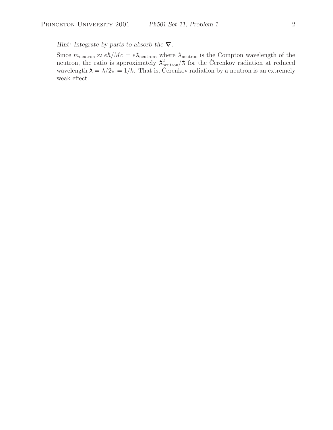*Hint: Integrate by parts to absorb the ∇.*

Since  $m_{\text{neutron}} \approx e\hbar/Mc = e\lambda_{\text{neutron}}$ , where  $\lambda_{\text{neutron}}$  is the Compton wavelength of the neutron, the ratio is approximately  $\lambda_{\text{neutron}}^2/\lambda$  for the Cerenkov radiation at reduced wavelength  $\lambda = \lambda/2\pi = 1/k$ . That is, Čerenkov radiation by a neutron is an extremely weak effect.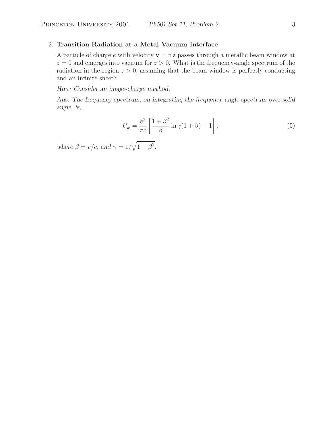# 2. **Transition Radiation at a Metal-Vacuum Interface**

A particle of charge e with velocity  $\mathbf{v} = v \hat{\mathbf{z}}$  passes through a metallic beam window at  $z = 0$  and emerges into vacuum for  $z > 0$ . What is the frequency-angle spectrum of the radiation in the region  $z > 0$ , assuming that the beam window is perfectly conducting and an infinite sheet?

*Hint: Consider an image-charge method.*

*Ans: The frequency spectrum, on integrating the frequency-angle spectrum over solid angle, is,*

$$
U_{\omega} = \frac{e^2}{\pi c} \left[ \frac{1 + \beta^2}{\beta} \ln \gamma (1 + \beta) - 1 \right],\tag{5}
$$

where  $\beta = v/c$ , and  $\gamma = 1/\sqrt{1 - \beta^2}$ .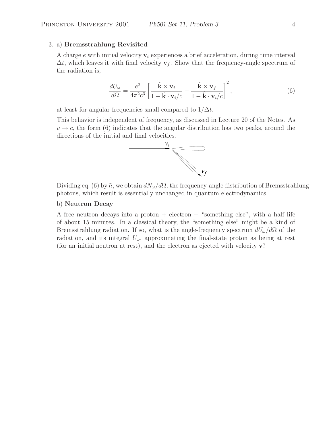#### 3. a) **Bremsstrahlung Revisited**

A charge  $e$  with initial velocity  $v_i$  experiences a brief acceleration, during time interval  $\Delta t$ , which leaves it with final velocity  $\mathbf{v}_f$ . Show that the frequency-angle spectrum of the radiation is,

$$
\frac{dU_{\omega}}{d\Omega} = \frac{e^2}{4\pi^2 c^3} \left[ \frac{\hat{\mathbf{k}} \times \mathbf{v}_i}{1 - \hat{\mathbf{k}} \cdot \mathbf{v}_i/c} - \frac{\hat{\mathbf{k}} \times \mathbf{v}_f}{1 - \hat{\mathbf{k}} \cdot \mathbf{v}_i/c} \right]^2, \tag{6}
$$

at least for angular frequencies small compared to  $1/\Delta t$ .

This behavior is independent of frequency, as discussed in Lecture 20 of the Notes. As  $v \rightarrow c$ , the form (6) indicates that the angular distribution has two peaks, around the directions of the initial and final velocities.



Dividing eq. (6) by  $\hbar$ , we obtain  $dN_{\omega}/d\Omega$ , the frequency-angle distribution of Bremsstrahlung photons, which result is essentially unchanged in quantum electrodynamics.

#### b) **Neutron Decay**

A free neutron decays into a proton  $+$  electron  $+$  "something else", with a half life of about 15 minutes. In a classical theory, the "something else" might be a kind of Bremsstrahlung radiation. If so, what is the angle-frequency spectrum  $dU_{\omega}/d\Omega$  of the radiation, and its integral  $U_{\omega}$ , approximating the final-state proton as being at rest (for an initial neutron at rest), and the electron as ejected with velocity **v**?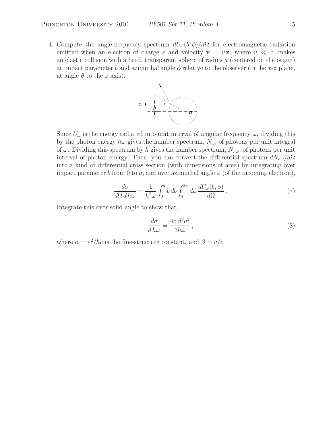4. Compute the angle-frequency spectrum  $dU_{\omega}(b, \phi)/d\Omega$  for electromagnetic radiation emitted when an electron of charge e and velocity  $\mathbf{v} = v \hat{\mathbf{z}}$ , where  $v \ll c$ , makes an elastic collision with a hard, transparent sphere of radius a (centered on the origin) at impact parameter b and azimuthal angle  $\phi$  relative to the observer (in the x-z plane, at angle  $\theta$  to the z axis).



Since  $U_{\omega}$  is the energy radiated into unit interval of angular frequency  $\omega$ , dividing this by the photon energy  $\hbar\omega$  gives the number spectrum,  $N_{\omega}$ , of photons per unit integral of  $\omega$ . Dividing this spectrum by  $\hbar$  gives the number spectrum,  $N_{\hbar\omega}$ , of photons per unit interval of photon energy. Then, you can convert the differential spectrum  $dN_{\hbar\omega}/d\Omega$ into a kind of differential cross section (with dimensions of area) by integrating over impact parameter b from 0 to a, and over azimuthal angle  $\phi$  (of the incoming electron),

$$
\frac{d\sigma}{d\Omega \, d\,\hbar\omega} = \frac{1}{\hbar^2 \omega} \int_0^a b \, db \int_0^{2\pi} d\phi \, \frac{dU_\omega(b,\phi)}{d\Omega} \,. \tag{7}
$$

Integrate this over solid angle to show that,

$$
\frac{d\sigma}{d\hbar\omega} = \frac{4\alpha\beta^2 a^2}{3\hbar\omega},\tag{8}
$$

where  $\alpha = e^2/\hbar c$  is the fine-structure constant, and  $\beta = v/c$ .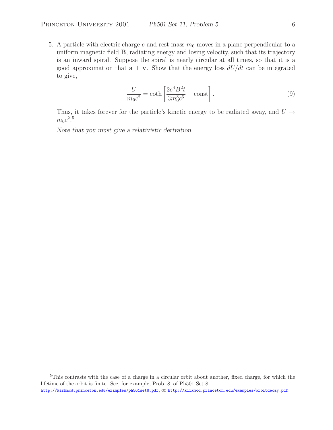5. A particle with electric charge  $e$  and rest mass  $m_0$  moves in a plane perpendicular to a uniform magnetic field **B**, radiating energy and losing velocity, such that its trajectory is an inward spiral. Suppose the spiral is nearly circular at all times, so that it is a good approximation that  $\mathbf{a} \perp \mathbf{v}$ . Show that the energy loss  $dU/dt$  can be integrated to give,

$$
\frac{U}{m_0 c^2} = \coth\left[\frac{2e^4 B^2 t}{3m_0^3 c^5} + \text{const}\right].\tag{9}
$$

Thus, it takes forever for the particle's kinetic energy to be radiated away, and  $U \rightarrow$  $m_0c^2.5$ 

*Note that you must give a relativistic derivation.*

<sup>5</sup>This contrasts with the case of a charge in a circular orbit about another, fixed charge, for which the lifetime of the orbit is finite. See, for example, Prob. 8, of Ph501 Set 8,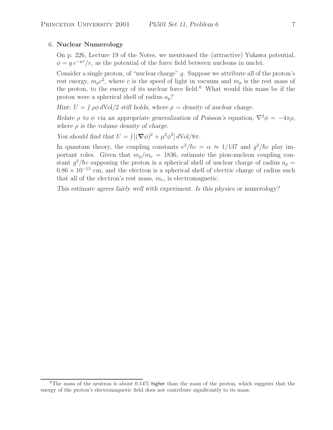#### 6. **Nuclear Numerology**

On p. 226, Lecture 19 of the Notes, we mentioned the (attractive) Yukawa potential,  $\phi = q e^{-\mu r}/r$ , as the potential of the force field between nucleons in nuclei.

Consider a single proton, of "nuclear charge" g. Suppose we attribute all of the proton's rest energy,  $m_p c^2$ , where c is the speed of light in vacuum and  $m_p$  is the rest mass of the proton, to the energy of its nuclear force field.<sup>6</sup> What would this mass be if the proton were a spherical shell of radius  $a_n$ ?

*Hint:*  $U = \int \rho \phi \, d\text{Vol}/2$  *still holds, where*  $\rho =$  density of nuclear charge.

*Relate*  $\rho$  *to*  $\phi$  *via an appropriate generalization of Poisson's equation,*  $\nabla^2 \phi = -4\pi \rho$ , *where* ρ *is the volume density of charge.*

*You should find that*  $U = \int [(\nabla \phi)^2 + \mu^2 \phi^2] dVol/8\pi$ .

In quantum theory, the coupling constants  $e^2/\hbar c = \alpha \approx 1/137$  and  $g^2/\hbar c$  play important roles. Given that  $m_p/m_e = 1836$ , estimate the pion-nucleon coupling constant  $g^2/\hbar c$  supposing the proton is a spherical shell of nuclear charge of radius  $a_p =$  $0.86 \times 10^{-13}$  cm, and the electron is a spherical shell of electric charge of radius such that all of the electron's rest mass,  $m_e$ , is electromagnetic.

*This estimate agrees fairly well with experiment. Is this physics or numerology?*

<sup>&</sup>lt;sup>6</sup>The mass of the neutron is about  $0.14\%$  higher than the mass of the proton, which suggests that the energy of the proton's electromagnetic field does not contribute significantly to its mass.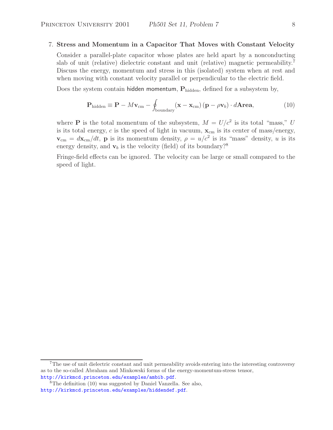#### 7. **Stress and Momentum in a Capacitor That Moves with Constant Velocity**

Consider a parallel-plate capacitor whose plates are held apart by a nonconducting slab of unit (relative) dielectric constant and unit (relative) magnetic permeability.<sup>7</sup> Discuss the energy, momentum and stress in this (isolated) system when at rest and when moving with constant velocity parallel or perpendicular to the electric field.

Does the system contain hidden momentum,  $P_{hidden}$ , defined for a subsystem by,

$$
\mathbf{P}_{\text{hidden}} \equiv \mathbf{P} - M\mathbf{v}_{\text{cm}} - \oint_{\text{boundary}} (\mathbf{x} - \mathbf{x}_{\text{cm}}) (\mathbf{p} - \rho \mathbf{v}_b) \cdot d\mathbf{Area}, \tag{10}
$$

where **P** is the total momentum of the subsystem,  $M = U/c^2$  is its total "mass," U is its total energy,  $c$  is the speed of light in vacuum,  $\mathbf{x}_{cm}$  is its center of mass/energy, **, <b>p** is its momentum density,  $\rho = u/c^2$  is its "mass" density, u is its energy density, and  $\mathbf{v}_b$  is the velocity (field) of its boundary?<sup>8</sup>

Fringe-field effects can be ignored. The velocity can be large or small compared to the speed of light.

<sup>&</sup>lt;sup>7</sup>The use of unit dielectric constant and unit permeability avoids entering into the interesting controversy as to the so-called Abraham and Minkowski forms of the energy-momentum-stress tensor, http://kirkmcd.princeton.edu/examples/ambib.pdf.

<sup>8</sup>The definition (10) was suggested by Daniel Vanzella. See also, http://kirkmcd.princeton.edu/examples/hiddendef.pdf.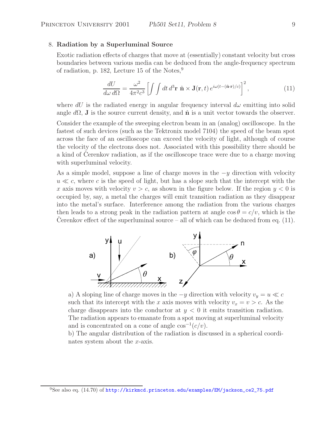#### 8. **Radiation by a Superluminal Source**

Exotic radiation effects of charges that move at (essentially) constant velocity but cross boundaries between various media can be deduced from the angle-frequency spectrum of radiation, p. 182, Lecture 15 of the Notes, $9$ 

$$
\frac{dU}{d\omega \, d\Omega} = \frac{\omega^2}{4\pi^2 c^3} \left[ \int \int dt \, d^3 \mathbf{r} \, \hat{\mathbf{n}} \times \mathbf{J}(\mathbf{r}, t) \, e^{i\omega(t - (\hat{\mathbf{n}} \cdot \mathbf{r})/c)} \right]^2, \tag{11}
$$

where  $dU$  is the radiated energy in angular frequency interval  $d\omega$  emitting into solid angle  $d\Omega$ , **J** is the source current density, and  $\hat{\mathbf{n}}$  is a unit vector towards the observer.

Consider the example of the sweeping electron beam in an (analog) oscilloscope. In the fastest of such devices (such as the Tektronix model 7104) the speed of the beam spot across the face of an oscilloscope can exceed the velocity of light, although of course the velocity of the electrons does not. Associated with this possibility there should be a kind of Cerenkov radiation, as if the oscilloscope trace were due to a charge moving with superluminal velocity.

As a simple model, suppose a line of charge moves in the  $-y$  direction with velocity  $u \ll c$ , where c is the speed of light, but has a slope such that the intercept with the x axis moves with velocity  $v>c$ , as shown in the figure below. If the region  $y < 0$  is occupied by, say, a metal the charges will emit transition radiation as they disappear into the metal's surface. Interference among the radiation from the various charges then leads to a strong peak in the radiation pattern at angle  $\cos \theta = c/v$ , which is the Cerenkov effect of the superluminal source – all of which can be deduced from eq.  $(11)$ .



a) A sloping line of charge moves in the  $-y$  direction with velocity  $v_y = u \ll c$ such that its intercept with the x axis moves with velocity  $v_x = v > c$ . As the charge disappears into the conductor at  $y < 0$  it emits transition radiation. The radiation appears to emanate from a spot moving at superluminal velocity and is concentrated on a cone of angle  $cos^{-1}(c/v)$ .

b) The angular distribution of the radiation is discussed in a spherical coordinates system about the x-axis.

<sup>&</sup>lt;sup>9</sup>See also eq.  $(14.70)$  of http://kirkmcd.princeton.edu/examples/EM/jackson\_ce2\_75.pdf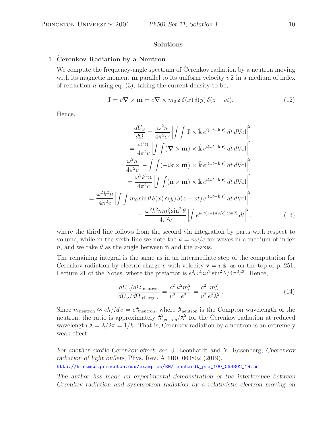#### **Solutions**

## 1. Cerenkov Radiation by a Neutron

We compute the frequency-angle spectrum of Cerenkov radiation by a neutron moving with its magnetic moment **m** parallel to its uniform velocity  $v\hat{z}$  in a medium of index of refraction n using eq.  $(3)$ , taking the current density to be,

$$
\mathbf{J} = c\mathbf{\nabla} \times \mathbf{m} = c\mathbf{\nabla} \times m_0 \,\hat{\mathbf{z}} \,\delta(x) \,\delta(y) \,\delta(z - vt). \tag{12}
$$

Hence,

$$
\frac{dU_{\omega}}{d\Omega} = \frac{\omega^2 n}{4\pi^2 c^3} \left| \int \int \mathbf{J} \times \hat{\mathbf{k}} e^{i(\omega t - \mathbf{k} \cdot \mathbf{r})} dt d\text{Vol} \right|^2
$$

$$
= \frac{\omega^2 n}{4\pi^2 c} \left| \int \int (\mathbf{\nabla} \times \mathbf{m}) \times \hat{\mathbf{k}} e^{i(\omega t - \mathbf{k} \cdot \mathbf{r})} dt d\text{Vol} \right|^2
$$

$$
= \frac{\omega^2 n}{4\pi^2 c} \left| - \int \int (-i\mathbf{k} \times \mathbf{m}) \times \hat{\mathbf{k}} e^{i(\omega t - \mathbf{k} \cdot \mathbf{r})} dt d\text{Vol} \right|^2
$$

$$
= \frac{\omega^2 k^2 n}{4\pi^2 c} \left| \int \int (\hat{\mathbf{n}} \times \mathbf{m}) \times \hat{\mathbf{k}} e^{i(\omega t - \mathbf{k} \cdot \mathbf{r})} dt d\text{Vol} \right|^2
$$

$$
= \frac{\omega^2 k^2 n}{4\pi^2 c} \left| \int \int m_0 \sin \theta \, \delta(x) \, \delta(y) \, \delta(z - vt) e^{i(\omega t - \mathbf{k} \cdot \mathbf{r})} dt d\text{Vol} \right|^2
$$

$$
= \frac{\omega^2 k^2 n m_0^2 \sin^2 \theta}{4\pi^2 c} \left| \int e^{i\omega t (1 - (nv/c) \cos \theta)} dt \right|^2,
$$
(13)

where the third line follows from the second via integration by parts with respect to volume, while in the sixth line we note the  $k = n\omega/c$  for waves in a medium of index n, and we take  $\theta$  as the angle between  $\hat{\mathbf{n}}$  and the z-axis.

The remaining integral is the same as in an intermediate step of the computation for Cerenkov radiation by electric charge e with velocity  $\mathbf{v} = v \hat{\mathbf{z}}$ , as on the top of p. 251, Lecture 21 of the Notes, where the prefactor is  $e^2 \omega^2 n v^2 \sin^2 \theta / 4\pi^2 c^3$ . Hence,

$$
\frac{dU_{\omega}/d\Omega|_{\text{neutron}}}{dU_{\omega}/d\Omega|_{\text{charge }e}} = \frac{c^2}{v^2} \frac{k^2 m_0^2}{e^2} = \frac{c^2}{v^2} \frac{m_0^2}{e^2 \lambda^2}.
$$
\n(14)

Since  $m_{\text{neutron}} \approx e\hbar/Mc = e\lambda_{\text{neutron}}$ , where  $\lambda_{\text{neutron}}$  is the Compton wavelength of the neutron, the ratio is approximately  $\lambda_{\text{neutron}}^2/\lambda^2$  for the Cerenkov radiation at reduced wavelength  $\lambda = \lambda/2\pi = 1/k$ . That is, Cerenkov radiation by a neutron is an extremely weak effect.

*For another exotic Cerenkov effect, see ˇ* U. Leonhardt and Y. Rosenberg, *Cherenkov radiation of light bullets*, Phys. Rev. A **100**, 063802 (2019), http://kirkmcd.princeton.edu/examples/EM/leonhardt\_pra\_100\_063802\_19.pdf

*The author has made an experimental demonstration of the interference between Cerenkov radiation and synchrotron radiation by a relativistic electron moving on*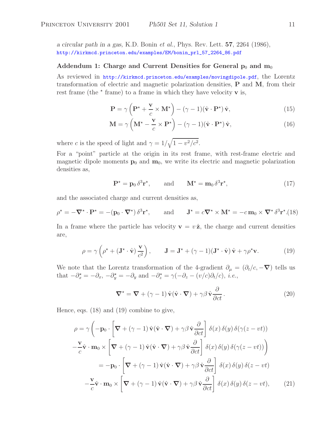*a circular path in a gas,* K.D. Bonin *et al.*, Phys. Rev. Lett. **57**, 2264 (1986), http://kirkmcd.princeton.edu/examples/EM/bonin\_prl\_57\_2264\_86.pdf

#### Addendum 1: Charge and Current Densities for General  $p_0$  and  $m_0$

As reviewed in http://kirkmcd.princeton.edu/examples/movingdipole.pdf, the Lorentz transformation of electric and magnetic polarization densities, **P** and **M**, from their rest frame (the  $\star$  frame) to a frame in which they have velocity **v** is,

$$
\mathbf{P} = \gamma \left( \mathbf{P}^{\star} + \frac{\mathbf{v}}{c} \times \mathbf{M}^{\star} \right) - (\gamma - 1)(\hat{\mathbf{v}} \cdot \mathbf{P}^{\star}) \hat{\mathbf{v}}, \tag{15}
$$

$$
\mathbf{M} = \gamma \left( \mathbf{M}^{\star} - \frac{\mathbf{v}}{c} \times \mathbf{P}^{\star} \right) - (\gamma - 1)(\hat{\mathbf{v}} \cdot \mathbf{P}^{\star}) \hat{\mathbf{v}}, \tag{16}
$$

where c is the speed of light and  $\gamma = 1/\sqrt{1 - v^2/c^2}$ .

For a "point" particle at the origin in its rest frame, with rest-frame electric and magnetic dipole moments  $\mathbf{p}_0$  and  $\mathbf{m}_0$ , we write its electric and magnetic polarization densities as,

$$
\mathbf{P}^{\star} = \mathbf{p}_0 \, \delta^3 \mathbf{r}^{\star}, \qquad \text{and} \qquad \mathbf{M}^{\star} = \mathbf{m}_0 \, \delta^3 \mathbf{r}^{\star}, \tag{17}
$$

and the associated charge and current densities as,

$$
\rho^* = -\nabla^* \cdot \mathbf{P}^* = -(\mathbf{p}_0 \cdot \nabla^*) \, \delta^3 \mathbf{r}^*, \qquad \text{and} \qquad \mathbf{J}^* = c\nabla^* \times \mathbf{M}^* = -c\,\mathbf{m}_0 \times \nabla^* \, \delta^3 \mathbf{r}^* \tag{18}
$$

In a frame where the particle has velocity  $\mathbf{v} = v \hat{\mathbf{z}}$ , the charge and current densities are,

$$
\rho = \gamma \left( \rho^* + (\mathbf{J}^* \cdot \hat{\mathbf{v}}) \frac{\mathbf{v}}{c^2} \right), \qquad \mathbf{J} = \mathbf{J}^* + (\gamma - 1)(\mathbf{J}^* \cdot \hat{\mathbf{v}}) \hat{\mathbf{v}} + \gamma \rho^* \mathbf{v}.
$$
 (19)

We note that the Lorentz transformation of the 4-gradient  $\partial_{\mu} = (\partial_t/c, -\nabla)$  tells us that  $-\partial_x^* = -\partial_x$ ,  $-\partial_y^* = -\partial_y$  and  $-\partial_z^* = \gamma(-\partial_z - (v/c)\partial_t/c)$ , *i.e.*,

$$
\nabla^{\star} = \nabla + (\gamma - 1) \hat{\mathbf{v}} (\hat{\mathbf{v}} \cdot \nabla) + \gamma \beta \hat{\mathbf{v}} \frac{\partial}{\partial ct}.
$$
 (20)

Hence, eqs. (18) and (19) combine to give,

$$
\rho = \gamma \left( -\mathbf{p}_0 \cdot \left[ \nabla + (\gamma - 1) \hat{\mathbf{v}} (\hat{\mathbf{v}} \cdot \nabla) + \gamma \beta \hat{\mathbf{v}} \frac{\partial}{\partial ct} \right] \delta(x) \delta(y) \delta(\gamma(z - vt)) \right. \n- \frac{\mathbf{v}}{c} \hat{\mathbf{v}} \cdot \mathbf{m}_0 \times \left[ \nabla + (\gamma - 1) \hat{\mathbf{v}} (\hat{\mathbf{v}} \cdot \nabla) + \gamma \beta \hat{\mathbf{v}} \frac{\partial}{\partial ct} \right] \delta(x) \delta(y) \delta(\gamma(z - vt)) \right) \n= -\mathbf{p}_0 \cdot \left[ \nabla + (\gamma - 1) \hat{\mathbf{v}} (\hat{\mathbf{v}} \cdot \nabla) + \gamma \beta \hat{\mathbf{v}} \frac{\partial}{\partial ct} \right] \delta(x) \delta(y) \delta(z - vt) \n- \frac{\mathbf{v}}{c} \hat{\mathbf{v}} \cdot \mathbf{m}_0 \times \left[ \nabla + (\gamma - 1) \hat{\mathbf{v}} (\hat{\mathbf{v}} \cdot \nabla) + \gamma \beta \hat{\mathbf{v}} \frac{\partial}{\partial ct} \right] \delta(x) \delta(y) \delta(z - vt), \quad (21)
$$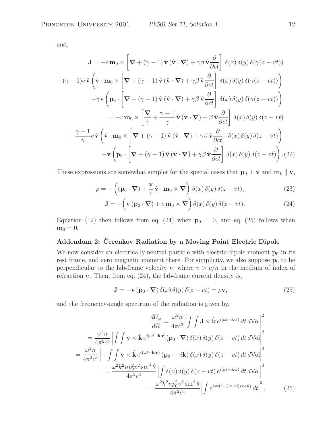and,

$$
\mathbf{J} = -c \mathbf{m}_0 \times \left[ \nabla + (\gamma - 1) \hat{\mathbf{v}} \left( \hat{\mathbf{v}} \cdot \nabla \right) + \gamma \beta \hat{\mathbf{v}} \frac{\partial}{\partial ct} \right] \delta(x) \delta(y) \delta(\gamma(z - vt))
$$

$$
-(\gamma - 1)c \hat{\mathbf{v}} \left( \hat{\mathbf{v}} \cdot \mathbf{m}_0 \times \left[ \nabla + (\gamma - 1) \hat{\mathbf{v}} \left( \hat{\mathbf{v}} \cdot \nabla \right) + \gamma \beta \hat{\mathbf{v}} \frac{\partial}{\partial ct} \right] \delta(x) \delta(y) \delta(\gamma(z - vt)) \right)
$$

$$
-\gamma \mathbf{v} \left( \mathbf{p}_0 \cdot \left[ \nabla + (\gamma - 1) \hat{\mathbf{v}} \left( \hat{\mathbf{v}} \cdot \nabla \right) + \gamma \beta \hat{\mathbf{v}} \frac{\partial}{\partial ct} \right] \delta(x) \delta(y) \delta(\gamma(z - vt)) \right)
$$

$$
= -c \mathbf{m}_0 \times \left[ \nabla + (\gamma - 1) \hat{\mathbf{v}} \left( \hat{\mathbf{v}} \cdot \nabla \right) + \beta \hat{\mathbf{v}} \frac{\partial}{\partial ct} \right] \delta(x) \delta(y) \delta(z - vt)
$$

$$
-\frac{\gamma - 1}{\gamma} c \hat{\mathbf{v}} \left( \hat{\mathbf{v}} \cdot \mathbf{m}_0 \times \left[ \nabla + (\gamma - 1) \hat{\mathbf{v}} \left( \hat{\mathbf{v}} \cdot \nabla \right) + \gamma \beta \hat{\mathbf{v}} \frac{\partial}{\partial ct} \right] \delta(x) \delta(y) \delta(z - vt) \right)
$$

$$
-\mathbf{v} \left( \mathbf{p}_0 \cdot \left[ \nabla + (\gamma - 1) \hat{\mathbf{v}} \left( \hat{\mathbf{v}} \cdot \nabla \right) + \gamma \beta \hat{\mathbf{v}} \frac{\partial}{\partial ct} \right] \delta(x) \delta(y) \delta(z - vt) \right). (22)
$$

These expressions are somewhat simpler for the special cases that  $\mathbf{p}_0 \perp \mathbf{v}$  and  $\mathbf{m}_0 \parallel \mathbf{v}$ ,

$$
\rho = -\left( (\mathbf{p}_0 \cdot \boldsymbol{\nabla}) + \frac{\mathbf{v}}{c} \hat{\mathbf{v}} \cdot \mathbf{m}_0 \times \boldsymbol{\nabla} \right) \delta(x) \delta(y) \delta(z - vt), \tag{23}
$$

$$
\mathbf{J} = -\left(\mathbf{v}\left(\mathbf{p}_0 \cdot \boldsymbol{\nabla}\right) + c \,\mathbf{m}_0 \times \boldsymbol{\nabla}\right) \delta(x) \,\delta(y) \,\delta(z - vt). \tag{24}
$$

Equation (12) then follows from eq. (24) when  $p_0 = 0$ , and eq. (25) follows when  $$ 

# **Addendum 2: Cerenkov Radiation by a Moving Point Electric Dipole ˇ**

We now consider an electrically neutral particle with electric-dipole moment  $\mathbf{p}_0$  in its rest frame, and zero magnetic moment there. For simplicity, we also suppose  $\mathbf{p}_0$  to be perpendicular to the lab-frame velocity **v**, where  $v > c/n$  in the medium of index of refraction *n*. Then, from eq.  $(24)$ , the lab-frame current density is,

$$
\mathbf{J} = -\mathbf{v} \left( \mathbf{p}_0 \cdot \nabla \right) \delta(x) \delta(y) \delta(z - vt) = \rho \mathbf{v},\tag{25}
$$

and the frequency-angle spectrum of the radiation is given by,

$$
\frac{dU_{\omega}}{d\Omega} = \frac{\omega^2 n}{4\pi c^3} \left| \int \int \mathbf{J} \times \hat{\mathbf{k}} e^{i(\omega t - \mathbf{k} \cdot \mathbf{r})} dt d\text{Vol} \right|^2
$$

$$
= \frac{\omega^2 n}{4\pi^2 c^3} \left| \int \int \mathbf{v} \times \hat{\mathbf{k}} e^{i(\omega t - \mathbf{k} \cdot \mathbf{r})} (\mathbf{p}_0 \cdot \nabla) \delta(x) \delta(y) \delta(z - vt) dt d\text{Vol} \right|^2
$$

$$
= \frac{\omega^2 n}{4\pi^2 c^3} \left| - \int \int \mathbf{v} \times \hat{\mathbf{k}} e^{i(\omega t - \mathbf{k} \cdot \mathbf{r})} (\mathbf{p}_0 \cdot -i\mathbf{k}) \delta(x) \delta(y) \delta(z - vt) dt d\text{Vol} \right|^2
$$

$$
= \frac{\omega^2 k^2 n p_0^2 v^2 \sin^4 \theta}{4\pi^2 c^3} \left| \int \delta(x) \delta(y) \delta(z - vt) e^{i(\omega t - \mathbf{k} \cdot \mathbf{r})} dt d\text{Vol} \right|^2
$$

$$
= \frac{\omega^2 k^2 n p_0^2 v^2 \sin^4 \theta}{4\pi^2 c^3} \left| \int e^{i\omega t (1 - (nv/c) \cos \theta)} dt \right|^2, \qquad (26)
$$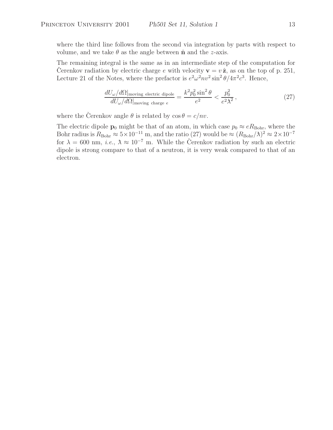where the third line follows from the second via integration by parts with respect to volume, and we take  $\theta$  as the angle between  $\hat{\mathbf{n}}$  and the *z*-axis.

The remaining integral is the same as in an intermediate step of the computation for Cerenkov radiation by electric charge e with velocity  $\mathbf{v} = v \hat{\mathbf{z}}$ , as on the top of p. 251, Lecture 21 of the Notes, where the prefactor is  $e^2 \omega^2 n v^2 \sin^2 \theta / 4\pi^2 c^3$ . Hence,

$$
\frac{dU_{\omega}/d\Omega|_{\text{moving electric dipole}}}{dU_{\omega}/d\Omega|_{\text{moving charge }e}} = \frac{k^2 p_0^2 \sin^2 \theta}{e^2} < \frac{p_0^2}{e^2 \lambda^2},\tag{27}
$$

where the Cerenkov angle  $\theta$  is related by  $\cos \theta = c/nv$ .

The electric dipole **p**<sub>0</sub> might be that of an atom, in which case  $p_0 \approx eR_{\text{Bohr}}$ , where the Bohr radius is  $R_{\text{Bohr}} \approx 5 \times 10^{-11}$  m, and the ratio (27) would be  $\approx (R_{\text{Bohr}}/\lambda)^2 \approx 2 \times 10^{-7}$ for  $\lambda = 600$  nm, *i.e.*,  $\lambda \approx 10^{-7}$  m. While the Cerenkov radiation by such an electric dipole is strong compare to that of a neutron, it is very weak compared to that of an electron.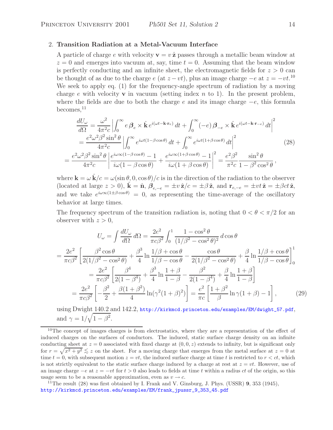# 2. **Transition Radiation at a Metal-Vacuum Interface**

A particle of charge e with velocity  $\mathbf{v} = v \hat{\mathbf{z}}$  passes through a metallic beam window at  $z = 0$  and emerges into vacuum at, say, time  $t = 0$ . Assuming that the beam window is perfectly conducting and an infinite sheet, the electromagnetic fields for  $z > 0$  can be thought of as due to the charge  $e$  (at  $z - vt$ ), plus an image charge  $-e$  at  $z = -vt$ .<sup>10</sup> We seek to apply eq. (1) for the frequency-angle spectrum of radiation by a moving charge  $e$  with velocity **v** in vacuum (setting index  $n$  to 1). In the present problem, where the fields are due to both the charge e and its image charge  $-e$ , this formula becomes, $^{11}$ 

$$
\frac{dU_{\omega}}{d\Omega} = \frac{\omega^2}{4\pi^2 c} \left| \int_0^{\infty} e \beta_e \times \hat{\mathbf{k}} e^{i(\omega t - \mathbf{k} \cdot \mathbf{r}_e)} dt + \int_0^{\infty} (-e) \beta_{-e} \times \hat{\mathbf{k}} e^{i(\omega t - \mathbf{k} \cdot \mathbf{r}_{-e})} dt \right|^2
$$
  
\n
$$
= \frac{e^2 \omega^2 \beta^2 \sin^2 \theta}{4\pi^2 c} \left| \int_0^{\infty} e^{i\omega t (1 - \beta \cos \theta)} dt + \int_0^{\infty} e^{i\omega t (1 + \beta \cos \theta)} dt \right|^2
$$
(28)  
\n
$$
= \frac{e^2 \omega^2 \beta^2 \sin^2 \theta}{4\pi^2 c} \left| \frac{e^{i\omega \infty (1 - \beta \cos \theta)} - 1}{i\omega (1 - \beta \cos \theta)} + \frac{e^{i\omega \infty (1 + \beta \cos \theta)} - 1}{i\omega (1 + \beta \cos \theta)} \right|^2 = \frac{e^2 \beta^2}{\pi^2 c} \frac{\sin^2 \theta}{1 - \beta^2 \cos^2 \theta},
$$

where  $\mathbf{k} = \omega \hat{\mathbf{k}}/c = \omega(\sin \theta, 0, \cos \theta)/c$  is in the direction of the radiation to the observer (located at large  $z > 0$ ),  $\hat{\mathbf{k}} = \hat{\mathbf{n}}, \ \beta_{e,-e} = \pm v \hat{\mathbf{z}}/c = \pm \beta \hat{\mathbf{z}}$ , and  $\mathbf{r}_{e,-e} = \pm vt \hat{\mathbf{z}} = \pm \beta ct \hat{\mathbf{z}}$ , and we take  $e^{i\omega\infty(1\pm\beta\cos\theta)}=0$ , as representing the time-average of the oscillatory behavior at large times.

The frequency spectrum of the transition radiation is, noting that  $0 < \theta < \pi/2$  for an observer with  $z > 0$ ,

$$
U_{\omega} = \int \frac{dU_{\omega}}{d\Omega} d\Omega = \frac{2e^2}{\pi c \beta^2} \int_0^1 \frac{1 - \cos^2 \theta}{(1/\beta^2 - \cos^2 \theta)^2} d\cos \theta
$$
  
=  $\frac{2e^2}{\pi c \beta^2} \left[ \frac{\beta^2 \cos \theta}{2(1/\beta^2 - \cos^2 \theta)} + \frac{\beta^3}{4} \ln \frac{1/\beta + \cos \theta}{1/\beta - \cos \theta} - \frac{\cos \theta}{2(1/\beta^2 - \cos^2 \theta)} + \frac{\beta}{4} \ln \frac{1/\beta + \cos \theta}{1/\beta - \cos \theta} \right]_0^1$   
=  $\frac{2e^2}{\pi c \beta^2} \left[ \frac{\beta^4}{2(1 - \beta^4)} + \frac{\beta^3}{4} \ln \frac{1 + \beta}{1 - \beta} - \frac{\beta^2}{2(1 - \beta^4)} + \frac{\beta}{4} \ln \frac{1 + \beta}{1 - \beta} \right]$   
=  $\frac{2e^2}{\pi c \beta^2} \left[ -\frac{\beta^2}{2} + \frac{\beta(1 + \beta^2)}{4} \ln(\gamma^2(1 + \beta)^2) \right] = \frac{e^2}{\pi c} \left[ \frac{1 + \beta^2}{\beta} \ln \gamma(1 + \beta) - 1 \right],$  (29)

using Dwight 140.2 and 142.2, http://kirkmcd.princeton.edu/examples/EM/dwight\_57.pdf, and  $\gamma = 1/\sqrt{1 - \beta^2}$ .

<sup>&</sup>lt;sup>10</sup>The concept of images charges is from electrostatics, where they are a representation of the effect of induced charges on the surfaces of conductors. The induced, static surface charge density on an infinite conducting sheet at  $z = 0$  associated with fixed charge at  $(0, 0, z)$  extends to infinity, but is significant only for  $r = \sqrt{x^2 + y^2} \leq z$  on the sheet. For a moving charge that emerges from the metal surface at  $z = 0$  at time  $t = 0$ , with subsequent motion  $z = vt$ , the induced surface charge at time t is restricted to  $r < ct$ , which is not strictly equivalent to the static surface charge induced by a charge at rest at  $z = vt$ . However, use of an image charge  $-e$  at  $z = -vt$  for  $t > 0$  also leads to fields at time t within a radius ct of the origin, so this usage seem to be a reasonable approximation, even as  $v \to c$ .

<sup>&</sup>lt;sup>11</sup>The result  $(28)$  was first obtained by I. Frank and V. Ginsburg, J. Phys. (USSR) **9**, 353 (1945), http://kirkmcd.princeton.edu/examples/EM/frank\_jpussr\_9\_353\_45.pdf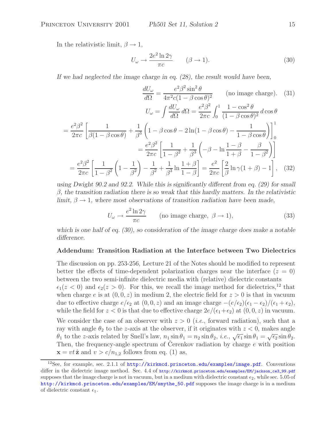In the relativistic limit,  $\beta \rightarrow 1$ ,

$$
U_{\omega} \to \frac{2e^2 \ln 2\gamma}{\pi c} \qquad (\beta \to 1). \tag{30}
$$

*If we had neglected the image charge in eq. (28), the result would have been,*

$$
\frac{dU_{\omega}}{d\Omega} = \frac{e^2 \beta^2 \sin^2 \theta}{4\pi^2 c (1 - \beta \cos \theta)^2} \qquad \text{(no image charge)}.
$$
 (31)  

$$
U_{\omega} = \int \frac{dU_{\omega}}{d\Omega} d\Omega = \frac{e^2 \beta^2}{2\pi c} \int_0^1 \frac{1 - \cos^2 \theta}{(1 - \beta \cos \theta)^2} d\cos \theta
$$

$$
= \frac{e^2 \beta^2}{2\pi c} \left[ \frac{1}{\beta (1 - \beta \cos \theta)} + \frac{1}{\beta^3} \left( 1 - \beta \cos \theta - 2 \ln(1 - \beta \cos \theta) - \frac{1}{1 - \beta \cos \theta} \right) \right]_0^1
$$

$$
= \frac{e^2 \beta^2}{2\pi c} \left[ \frac{1}{1 - \beta^2} + \frac{1}{\beta^3} \left( -\beta - \ln \frac{1 - \beta}{1 + \beta} - \frac{\beta}{1 - \beta^2} \right) \right]
$$

$$
= \frac{e^2 \beta^2}{2\pi c} \left[ \frac{1}{1 - \beta^2} \left( 1 - \frac{1}{\beta^2} \right) - \frac{1}{\beta^2} + \frac{1}{\beta^3} \ln \frac{1 + \beta}{1 - \beta} \right] = \frac{e^2}{2\pi c} \left[ \frac{2}{\beta} \ln \gamma (1 + \beta) - 1 \right], \quad \text{(32)}
$$

*using Dwight 90.2 and 92.2. While this is significantly different from eq. (29) for small* β*, the transition radiation there is so weak that this hardly matters. In the relativistic limit,*  $\beta \rightarrow 1$ *, where most observations of transition radiation have been made,* 

$$
U_{\omega} \to \frac{e^2 \ln 2\gamma}{\pi c} \qquad \text{(no image charge, } \beta \to 1\text{)},\tag{33}
$$

*which is one half of eq. (30), so consideration of the image charge does make a notable difference.*

# **Addendum: Transition Radiation at the Interface between Two Dielectrics**

The discussion on pp. 253-256, Lecture 21 of the Notes should be modified to represent better the effects of time-dependent polarization charges near the interface  $(z = 0)$ between the two semi-infinite dielectric media with (relative) dielectric constants  $\epsilon_1(z < 0)$  and  $\epsilon_2(z > 0)$ . For this, we recall the image method for dielectrics,<sup>12</sup> that when charge e is at  $(0, 0, z)$  in medium 2, the electric field for  $z > 0$  is that in vacuum due to effective charge  $e/\epsilon_2$  at  $(0, 0, z)$  and an image charge  $-(e/\epsilon_2)(\epsilon_1 - \epsilon_2)/(\epsilon_1 + \epsilon_2)$ , while the field for  $z < 0$  is that due to effective charge  $2e/(\epsilon_1+\epsilon_2)$  at  $(0,0,z)$  in vacuum. We consider the case of an observer with  $z > 0$  *(i.e., forward radiation)*, such that a ray with angle  $\theta_2$  to the z-axis at the observer, if it originates with  $z < 0$ , makes angle  $\theta_1$  to the z-axis related by Snell's law,  $n_1 \sin \theta_1 = n_2 \sin \theta_2$ , *i.e.*,  $\sqrt{\epsilon_1} \sin \theta_1 = \sqrt{\epsilon_2} \sin \theta_2$ . Then, the frequency-angle spectrum of Cerenkov radiation by charge  $e$  with position  $\mathbf{x} = vt \hat{\mathbf{z}}$  and  $v > c/n_{1,2}$  follows from eq. (1) as,

<sup>&</sup>lt;sup>12</sup>See, for example, sec. 2.1.1 of http://kirkmcd.princeton.edu/examples/image.pdf. Conventions differ in the dielectric image method. Sec. 4.4 of http://kirkmcd.princeton.edu/examples/EM/jackson\_ce3\_99.pdf supposes that the image charge is not in vacuum, but in a medium with dielectric constant  $\epsilon_2$ , while sec. 5.05 of http://kirkmcd.princeton.edu/examples/EM/smythe\_50.pdf supposes the image charge is in a medium of dielectric constant  $\epsilon_1$ .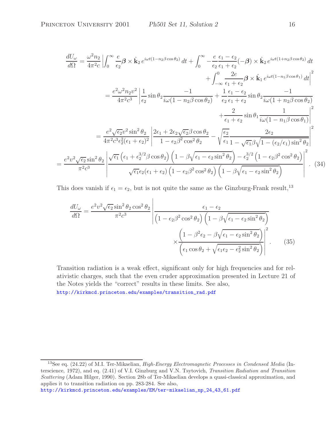$$
\frac{dU_{\omega}}{d\Omega} = \frac{\omega^2 n_2}{4\pi^2 c} \left| \int_0^{\infty} \frac{e}{\epsilon_2} \beta \times \hat{\mathbf{k}}_2 e^{i\omega t (1 - n_2 \beta \cos \theta_2)} dt + \int_0^{\infty} -\frac{e}{\epsilon_2} \frac{\epsilon_1 - \epsilon_2}{\epsilon_1 + \epsilon_2} (-\beta) \times \hat{\mathbf{k}}_2 e^{i\omega t (1 + n_2 \beta \cos \theta_2)} dt + \int_{-\infty}^0 \frac{2e}{\epsilon_1 + \epsilon_2} \beta \times \hat{\mathbf{k}}_1 e^{i\omega t (1 - n_1 \beta \cos \theta_1)} dt \right|^2
$$

$$
= \frac{e^2 \omega^2 n_2 v^2}{4\pi^2 c^3} \left| \frac{1}{\epsilon_2} \sin \theta_2 \frac{-1}{i\omega (1 - n_2 \beta \cos \theta_2)} + \frac{1}{\epsilon_2} \frac{\epsilon_1 - \epsilon_2}{\epsilon_1 + \epsilon_2} \sin \theta_2 \frac{-1}{i\omega (1 + n_2 \beta \cos \theta_2)} + \frac{2}{\epsilon_2 \epsilon_1 + \epsilon_2} \sin \theta_1 \frac{1}{i\omega (1 - n_1 \beta \cos \theta_1)} \right|^2
$$

$$
= \frac{e^2 \sqrt{\epsilon_2} v^2 \sin^2 \theta_2}{4\pi^2 c^3 \epsilon_2^2 (\epsilon_1 + \epsilon_2)^2} \left| \frac{2\epsilon_1 + 2\epsilon_2 \sqrt{\epsilon_2} \beta \cos \theta_2}{1 - \epsilon_2 \beta^2 \cos^2 \theta_2} - \sqrt{\frac{\epsilon_2}{\epsilon_1} \frac{2\epsilon_2}{1 - \sqrt{\epsilon_1} \beta \sqrt{1 - (\epsilon_2/\epsilon_1) \sin^2 \theta_2}} \right|^2
$$

$$
= \frac{e^2 v^2 \sqrt{\epsilon_2} \sin^2 \theta_2}{\pi^2 c^3} \left| \frac{\sqrt{\epsilon_1} (\epsilon_1 + \epsilon_2^{3/2} \beta \cos \theta_2) (1 - \beta \sqrt{\epsilon_1 - \epsilon_2 \sin^2 \theta_2}) - \epsilon_2^{3/2} (1 - \epsilon_2 \beta^2 \cos^2 \theta_2)}{\sqrt{\epsilon_1} \epsilon_2 (\epsilon_1 + \epsilon_2) (1 - \epsilon_
$$

This does vanish if  $\epsilon_1 = \epsilon_2$ , but is not quite the same as the Ginzburg-Frank result,<sup>13</sup>

$$
\frac{dU_{\omega}}{d\Omega} = \frac{e^2 v^2 \sqrt{\epsilon_2} \sin^2 \theta_2 \cos^2 \theta_2}{\pi^2 c^3} \left| \frac{\epsilon_1 - \epsilon_2}{\left(1 - \epsilon_2 \beta^2 \cos^2 \theta_2\right) \left(1 - \beta \sqrt{\epsilon_1 - \epsilon_2 \sin^2 \theta_2}\right)} \right|
$$
\n
$$
\times \frac{\left(1 - \beta^2 \epsilon_2 - \beta \sqrt{\epsilon_1 - \epsilon_2 \sin^2 \theta_2}\right)}{\left(\epsilon_1 \cos \theta_2 + \sqrt{\epsilon_1 \epsilon_2 - \epsilon_2^2 \sin^2 \theta_2}\right)} \right|^2. \tag{35}
$$

Transition radiation is a weak effect, significant only for high frequencies and for relativistic charges, such that the even cruder approximation presented in Lecture 21 of the Notes yields the "correct" results in these limits. See also,

http://kirkmcd.princeton.edu/examples/transition\_rad.pdf

<sup>13</sup>See eq. (24.22) of M.I. Ter-Mikaelian, *High-Energy Electromagnetic Processes in Condensed Media* (Interscience, 1972), and eq. (2.41) of V.I. Ginzburg and V.N. Tsytovich, *Transition Radiation and Transition Scattering* (Adam Hilger, 1990). Section 28b of Ter-Mikaelian develops a quasi-classical approximation, and applies it to transition radiation on pp. 283-284. See also,

http://kirkmcd.princeton.edu/examples/EM/ter-mikaelian\_np\_24\_43\_61.pdf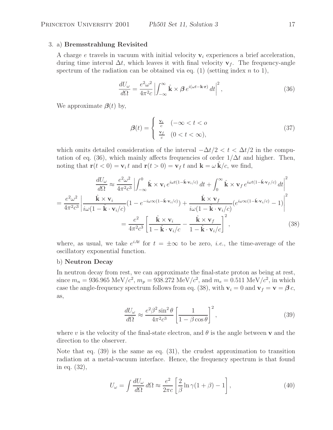# 3. a) **Bremsstrahlung Revisited**

A charge e travels in vacuum with initial velocity  $\mathbf{v}_i$  experiences a brief acceleration, during time interval  $\Delta t$ , which leaves it with final velocity **v**<sub>f</sub>. The frequency-angle spectrum of the radiation can be obtained via eq. (1) (setting index  $n$  to 1),

$$
\frac{dU_{\omega}}{d\Omega} = \frac{e^2 \omega^2}{4\pi^2 c} \left| \int_{-\infty}^{\infty} \hat{\mathbf{k}} \times \mathcal{B} e^{i(\omega t - \mathbf{k} \cdot \mathbf{r})} dt \right|^2, \tag{36}
$$

We approximate  $\beta(t)$  by,

$$
\beta(t) = \begin{cases} \frac{\mathbf{v}_i}{c} & (-\infty < t < o \\ \frac{\mathbf{v}_f}{c} & (0 < t < \infty), \end{cases} \tag{37}
$$

which omits detailed consideration of the interval  $-\Delta t/2 < t < \Delta t/2$  in the computation of eq. (36), which mainly affects frequencies of order  $1/\Delta t$  and higher. Then, noting that  $\mathbf{r}(t < 0) = \mathbf{v}_i t$  and  $\mathbf{r}(t > 0) = \mathbf{v}_f t$  and  $\mathbf{k} = \omega \mathbf{k}/c$ , we find,

$$
\frac{dU_{\omega}}{d\Omega} \approx \frac{e^2 \omega^2}{4\pi^2 c^3} \left| \int_{-\infty}^0 \hat{\mathbf{k}} \times \mathbf{v}_i e^{i\omega t (1 - \hat{\mathbf{k}} \cdot \mathbf{v}_i/c)} dt + \int_0^\infty \hat{\mathbf{k}} \times \mathbf{v}_f e^{i\omega t (1 - \hat{\mathbf{k}} \cdot \mathbf{v}_f/c)} dt \right|^2
$$
\n
$$
= \frac{e^2 \omega^2}{4\pi^2 c^3} \left| \frac{\hat{\mathbf{k}} \times \mathbf{v}_i}{i\omega (1 - \hat{\mathbf{k}} \cdot \mathbf{v}_i/c)} (1 - e^{-i\omega \infty (1 - \hat{\mathbf{k}} \cdot \mathbf{v}_i/c)}) + \frac{\hat{\mathbf{k}} \times \mathbf{v}_f}{i\omega (1 - \hat{\mathbf{k}} \cdot \mathbf{v}_i/c)} (e^{i\omega \infty (1 - \hat{\mathbf{k}} \cdot \mathbf{v}_i/c)} - 1) \right|^2
$$
\n
$$
= \frac{e^2}{4\pi^2 c^3} \left[ \frac{\hat{\mathbf{k}} \times \mathbf{v}_i}{1 - \hat{\mathbf{k}} \cdot \mathbf{v}_i/c} - \frac{\hat{\mathbf{k}} \times \mathbf{v}_f}{1 - \hat{\mathbf{k}} \cdot \mathbf{v}_i/c} \right]^2, \tag{38}
$$

where, as usual, we take  $e^{iAt}$  for  $t = \pm \infty$  to be zero, *i.e.*, the time-average of the oscillatory exponential function.

#### b) **Neutron Decay**

In neutron decay from rest, we can approximate the final-state proton as being at rest, since  $m_n = 936.965 \text{ MeV}/c^2$ ,  $m_p = 938.272 \text{ MeV}/c^2$ , and  $m_e = 0.511 \text{ MeV}/c^2$ , in which case the angle-frequency spectrum follows from eq. (38), with  $\mathbf{v}_i = 0$  and  $\mathbf{v}_f = \mathbf{v} = \boldsymbol{\beta} c$ , as,

$$
\frac{dU_{\omega}}{d\Omega} \approx \frac{e^2 \beta^2 \sin^2 \theta}{4\pi^2 c^3} \left[ \frac{1}{1 - \beta \cos \theta} \right]^2,\tag{39}
$$

where v is the velocity of the final-state electron, and  $\theta$  is the angle between **v** and the direction to the observer.

Note that eq. (39) is the same as eq. (31), the crudest approximation to transition radiation at a metal-vacuum interface. Hence, the frequency spectrum is that found in eq. (32),

$$
U_{\omega} = \int \frac{dU_{\omega}}{d\Omega} d\Omega \approx \frac{e^2}{2\pi c} \left[ \frac{2}{\beta} \ln \gamma (1 + \beta) - 1 \right],
$$
 (40)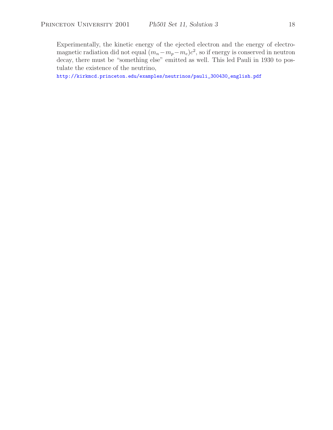Experimentally, the kinetic energy of the ejected electron and the energy of electromagnetic radiation did not equal  $(m_n - m_p - m_e)c^2$ , so if energy is conserved in neutron decay, there must be "something else" emitted as well. This led Pauli in 1930 to postulate the existence of the neutrino,

http://kirkmcd.princeton.edu/examples/neutrinos/pauli\_300430\_english.pdf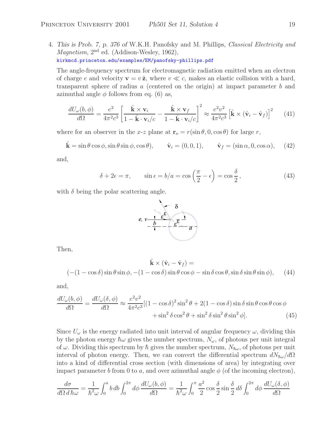4. *This is Prob. 7, p. 376 of* W.K.H. Panofsky and M. Phillips, *Classical Electricity and Magnetism*,  $2<sup>nd</sup>$  ed. (Addison-Wesley, 1962), kirkmcd.princeton.edu/examples/EM/panofsky-phillips.pdf

The angle-frequency spectrum for electromagnetic radiation emitted when an electron of charge e and velocity  $\mathbf{v} = v \hat{\mathbf{z}}$ , where  $v \ll c$ , makes an elastic collision with a hard, transparent sphere of radius a (centered on the origin) at impact parameter b and azimuthal angle  $\phi$  follows from eq. (6) as,

$$
\frac{dU_{\omega}(b,\phi)}{d\Omega} = \frac{e^2}{4\pi^2 c^3} \left[ \frac{\hat{\mathbf{k}} \times \mathbf{v}_i}{1 - \hat{\mathbf{k}} \cdot \mathbf{v}_i/c} - \frac{\hat{\mathbf{k}} \times \mathbf{v}_f}{1 - \hat{\mathbf{k}} \cdot \mathbf{v}_i/c} \right]^2 \approx \frac{e^2 v^2}{4\pi^2 c^3} \left[ \hat{\mathbf{k}} \times (\hat{\mathbf{v}}_i - \hat{\mathbf{v}}_f) \right]^2 \tag{41}
$$

where for an observer in the x-z plane at  $\mathbf{r}_o = r(\sin \theta, 0, \cos \theta)$  for large r,

$$
\hat{\mathbf{k}} = \sin \theta \cos \phi, \sin \theta \sin \phi, \cos \theta), \qquad \hat{\mathbf{v}}_i = (0, 0, 1), \qquad \hat{\mathbf{v}}_f = (\sin \alpha, 0, \cos \alpha), \tag{42}
$$

and,

$$
\delta + 2\epsilon = \pi, \qquad \sin \epsilon = b/a = \cos\left(\frac{\pi}{2} - \epsilon\right) = \cos\frac{\delta}{2},\tag{43}
$$

with  $\delta$  being the polar scattering angle.



Then,

$$
\hat{\mathbf{k}} \times (\hat{\mathbf{v}}_i - \hat{\mathbf{v}}_f) =
$$
  

$$
(-(1 - \cos \delta) \sin \theta \sin \phi, -(1 - \cos \delta) \sin \theta \cos \phi - \sin \delta \cos \theta, \sin \theta \sin \phi), \quad (44)
$$

and,

$$
\frac{dU_{\omega}(b,\phi)}{d\Omega} = \frac{dU_{\omega}(\delta,\phi)}{d\Omega} \approx \frac{e^2v^2}{4\pi^2c^3}[(1-\cos\delta)^2\sin^2\theta + 2(1-\cos\delta)\sin\delta\sin\theta\cos\theta\cos\phi + \sin^2\delta\cos^2\theta + \sin^2\delta\sin^2\theta\sin^2\phi].
$$
\n(45)

Since  $U_{\omega}$  is the energy radiated into unit interval of angular frequency  $\omega$ , dividing this by the photon energy  $\hbar\omega$  gives the number spectrum,  $N_{\omega}$ , of photons per unit integral of  $\omega$ . Dividing this spectrum by  $\hbar$  gives the number spectrum,  $N_{\hbar\omega}$ , of photons per unit interval of photon energy. Then, we can convert the differential spectrum  $dN_{\hbar\omega}/d\Omega$ into a kind of differential cross section (with dimensions of area) by integrating over impact parameter b from 0 to a, and over azimuthal angle  $\phi$  (of the incoming electron),

$$
\frac{d\sigma}{d\Omega d\hbar\omega} = \frac{1}{\hbar^2 \omega} \int_0^a b \, db \int_0^{2\pi} d\phi \, \frac{dU_\omega(b,\phi)}{d\Omega} = \frac{1}{\hbar^2 \omega} \int_0^{\pi} \frac{a^2}{2} \cos\frac{\delta}{2} \sin\frac{\delta}{2} d\delta \int_0^{2\pi} d\phi \, \frac{dU_\omega(\delta,\phi)}{d\Omega}
$$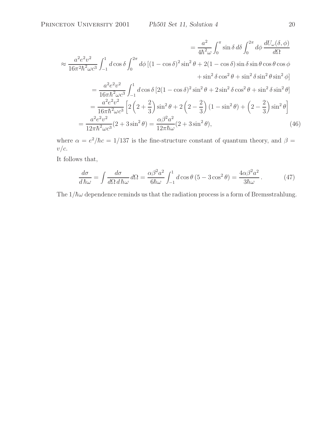$$
= \frac{a^2}{4\hbar^2 \omega} \int_0^\pi \sin \delta \, d\delta \int_0^{2\pi} d\phi \, \frac{dU_\omega(\delta, \phi)}{d\Omega}
$$
  
\n
$$
\approx \frac{a^2 e^2 v^2}{16\pi^2 \hbar^2 \omega c^3} \int_{-1}^1 d\cos \delta \int_0^{2\pi} d\phi \, [(1 - \cos \delta)^2 \sin^2 \theta + 2(1 - \cos \delta) \sin \delta \sin \theta \cos \theta \cos \phi
$$
  
\n
$$
+ \sin^2 \delta \cos^2 \theta + \sin^2 \delta \sin^2 \theta \sin^2 \phi]
$$
  
\n
$$
= \frac{a^2 e^2 v^2}{16\pi \hbar^2 \omega c^3} \int_{-1}^1 d\cos \delta [2(1 - \cos \delta)^2 \sin^2 \theta + 2 \sin^2 \delta \cos^2 \theta + \sin^2 \delta \sin^2 \theta]
$$
  
\n
$$
= \frac{a^2 e^2 v^2}{16\pi \hbar^2 \omega c^3} \left[ 2 \left( 2 + \frac{2}{3} \right) \sin^2 \theta + 2 \left( 2 - \frac{2}{3} \right) (1 - \sin^2 \theta) + \left( 2 - \frac{2}{3} \right) \sin^2 \theta \right]
$$
  
\n
$$
= \frac{a^2 e^2 v^2}{12\pi \hbar^2 \omega c^3} (2 + 3 \sin^2 \theta) = \frac{\alpha \beta^2 a^2}{12\pi \hbar \omega} (2 + 3 \sin^2 \theta), \tag{46}
$$

where  $\alpha = e^2/\hbar c = 1/137$  is the fine-structure constant of quantum theory, and  $\beta =$  $v/c$ .

It follows that,

$$
\frac{d\sigma}{d\hbar\omega} = \int \frac{d\sigma}{d\Omega \, d\hbar\omega} \, d\Omega = \frac{\alpha\beta^2 a^2}{6\hbar\omega} \int_{-1}^{1} d\cos\theta \, (5 - 3\cos^2\theta) = \frac{4\alpha\beta^2 a^2}{3\hbar\omega} \,. \tag{47}
$$

The  $1/\hbar\omega$  dependence reminds us that the radiation process is a form of Bremsstrahlung.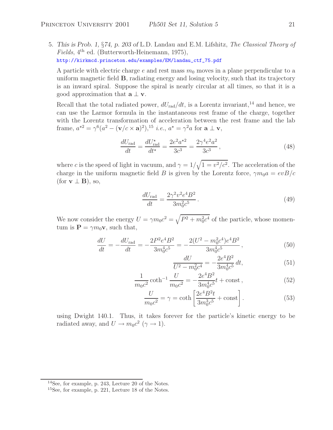5. *This is Prob. 1,* §*74, p. 203 of* L.D. Landau and E.M. Lifshitz, *The Classical Theory of Fields*, 4<sup>th</sup> ed. (Butterworth-Heinemann, 1975), http://kirkmcd.princeton.edu/examples/EM/landau\_ctf\_75.pdf

A particle with electric charge e and rest mass  $m_0$  moves in a plane perpendicular to a uniform magnetic field **B**, radiating energy and losing velocity, such that its trajectory is an inward spiral. Suppose the spiral is nearly circular at all times, so that it is a good approximation that  $\mathbf{a} \perp \mathbf{v}$ .

Recall that the total radiated power,  $dU_{\text{rad}}/dt$ , is a Lorentz invariant,<sup>14</sup> and hence, we can use the Larmor formula in the instantaneous rest frame of the charge, together with the Lorentz transformation of acceleration between the rest frame and the lab frame,  $a^{*2} = \gamma^6(a^2 - (\mathbf{v}/c \times \mathbf{a})^2),^{15}$  *i.e.*,  $a^* = \gamma^2 a$  for  $\mathbf{a} \perp \mathbf{v}$ ,

$$
\frac{dU_{\text{rad}}}{dt} = \frac{dU_{\text{rad}}^{\star}}{dt^{\star}} = \frac{2e^2a^{\star 2}}{3c^3} = \frac{2\gamma^4e^2a^2}{3c^3},\tag{48}
$$

where c is the speed of light in vacuum, and  $\gamma = 1/\sqrt{1 - v^2/c^2}$ . The acceleration of the charge in the uniform magnetic field B is given by the Lorentz force,  $\gamma m_0 a = e v B/c$  $(\text{for } v \perp B), \text{ so,}$ 

$$
\frac{dU_{\text{rad}}}{dt} = \frac{2\gamma^2 v^2 e^4 B^2}{3m_0^2 c^5} \,. \tag{49}
$$

We now consider the energy  $U = \gamma m_0 c^2 = \sqrt{P^2 + m_0^2 c^4}$  of the particle, whose momentum is  $\mathbf{P} = \gamma m_0 \mathbf{v}$ , such that,

$$
\frac{dU}{dt} = -\frac{dU_{\text{rad}}}{dt} = -\frac{2P^2e^4B^2}{3m_0^4c^5} = -\frac{2(U^2 - m_0^2c^4)e^4B^2}{3m_0^4c^5},\tag{50}
$$

$$
\frac{dU}{U^2 - m_0^2 c^4} = -\frac{2e^4 B^2}{3m_0^4 c^5} dt,
$$
\n(51)

$$
\frac{1}{m_0 c^2} \coth^{-1} \frac{U}{m_0 c^2} = -\frac{2e^4 B^2}{3m_0^4 c^5} t + \text{const} \,,\tag{52}
$$

$$
\frac{U}{m_0 c^2} = \gamma = \coth\left[\frac{2e^4 B^2 t}{3m_0^3 c^5} + \text{const}\right].\tag{53}
$$

using Dwight 140.1. Thus, it takes forever for the particle's kinetic energy to be radiated away, and  $U \rightarrow m_0 c^2$  ( $\gamma \rightarrow 1$ ).

<sup>14</sup>See, for example, p. 243, Lecture 20 of the Notes.

<sup>15</sup>See, for example, p. 221, Lecture 18 of the Notes.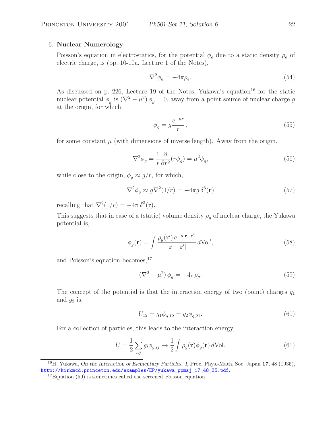# 6. **Nuclear Numerology**

Poisson's equation in electrostatics, for the potential  $\phi_e$  due to a static density  $\rho_e$  of closing charge is (pp. 10.10s, Lecture 1 of the Notes) electric charge, is (pp. 10-10a, Lecture 1 of the Notes),

$$
\nabla^2 \phi_e = -4\pi \rho_e. \tag{54}
$$

As discussed on p. 226, Lecture 19 of the Notes, Yukawa's equation<sup>16</sup> for the static nuclear potential  $\phi_g$  is  $(\nabla^2 - \mu^2) \phi_g = 0$ , away from a point source of nuclear charge g<br>at the existent for which at the origin, for which,

$$
\phi_g = g \frac{e^{-\mu r}}{r},\tag{55}
$$

for some constant  $\mu$  (with dimensions of inverse length). Away from the origin,

$$
\nabla^2 \phi_g = \frac{1}{r} \frac{\partial}{\partial r^2} (r \phi_g) = \mu^2 \phi_g,\tag{56}
$$

while close to the origin,  $\phi_q \approx g/r$ , for which,

$$
\nabla^2 \phi_g \approx g \nabla^2 (1/r) = -4\pi g \,\delta^3(\mathbf{r})\tag{57}
$$

recalling that  $\nabla^2(1/r) = -4\pi \delta^3(\mathbf{r}).$ 

This suggests that in case of a (static) volume density  $\rho_q$  of nuclear charge, the Yukawa potential is,

$$
\phi_g(\mathbf{r}) = \int \frac{\rho_g(\mathbf{r}') e^{-\mu|\mathbf{r}-\mathbf{r}'|}}{|\mathbf{r}-\mathbf{r}'|} d\text{Vol}',\tag{58}
$$

and Poisson's equation becomes,<sup>17</sup>

$$
\left(\nabla^2 - \mu^2\right)\phi_g = -4\pi\rho_g.\tag{59}
$$

The concept of the potential is that the interaction energy of two (point) charges  $g_1$ and  $g_2$  is,

$$
U_{12} = g_1 \phi_{g,12} = g_2 \phi_{g,21}.
$$
\n(60)

For a collection of particles, this leads to the interaction energy,

$$
U = \frac{1}{2} \sum_{i,j} g_i \phi_{g,ij} \to \frac{1}{2} \int \rho_g(\mathbf{r}) \phi_g(\mathbf{r}) d\text{Vol}.
$$
 (61)

<sup>16</sup>H. Yukawa, *On the Interaction of Elementary Particles. I*, Proc. Phys.-Math. Soc. Japan **17**, 48 (1935), http://kirkmcd.princeton.edu/examples/EP/yukawa\_ppmsj\_17\_48\_35.pdf.

<sup>&</sup>lt;sup>17</sup>Equation (59) is sometimes called the screened Poisson equation.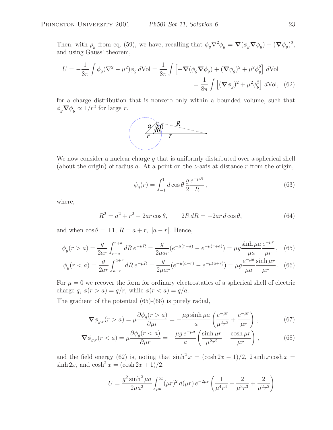Then, with  $\rho_g$  from eq. (59), we have, recalling that  $\phi_g \nabla^2 \phi_g = \nabla (\phi_g \nabla \phi_g) - (\nabla \phi_g)^2$ , and using Gauss' theorem,

$$
U = -\frac{1}{8\pi} \int \phi_g (\nabla^2 - \mu^2) \phi_g d\text{Vol} = \frac{1}{8\pi} \int \left[ -\nabla (\phi_g \nabla \phi_g) + (\nabla \phi_g)^2 + \mu^2 \phi_g^2 \right] d\text{Vol}
$$
  
= 
$$
\frac{1}{8\pi} \int \left[ (\nabla \phi_g)^2 + \mu^2 \phi_g^2 \right] d\text{Vol}, \quad (62)
$$

for a charge distribution that is nonzero only within a bounded volume, such that  $\phi_g \nabla \phi_g \propto 1/r^3$  for large *r*.



We now consider a nuclear charge  $g$  that is uniformly distributed over a spherical shell (about the origin) of radius a. At a point on the z-axis at distance  $r$  from the origin,

$$
\phi_g(r) = \int_{-1}^{1} d\cos\theta \, \frac{g}{2} \frac{e^{-\mu R}}{R} \,, \tag{63}
$$

where,

$$
R^2 = a^2 + r^2 - 2ar\cos\theta, \qquad 2R dR = -2ar\,d\cos\theta,\tag{64}
$$

and when  $\cos \theta = \pm 1$ ,  $R = a + r$ ,  $|a - r|$ . Hence,

$$
\phi_g(r > a) = \frac{g}{2ar} \int_{r-a}^{r+a} dR \, e^{-\mu R} = \frac{g}{2\mu ar} (e^{-\mu(r-a)} - e^{-\mu(r+a)}) = \mu g \frac{\sinh \mu a}{\mu a} \frac{e^{-\mu r}}{\mu r}, \tag{65}
$$

$$
\phi_g(r < a) = \frac{g}{2ar} \int_{a-r}^{a+r} dR \, e^{-\mu R} = \frac{g}{2\mu ar} (e^{-\mu(a-r)} - e^{-\mu(a+r)}) = \mu g \frac{e^{-\mu a} \sinh \mu r}{\mu a} \tag{66}
$$

For  $\mu = 0$  we recover the form for ordinary electrostatics of a spherical shell of electric charge q,  $\phi(r>a) = q/r$ , while  $\phi(r < a) = q/a$ .

The gradient of the potential (65)-(66) is purely radial,

$$
\nabla \phi_{g,r}(r > a) = \mu \frac{\partial \phi_g(r > a)}{\partial \mu r} = -\frac{\mu g \sinh \mu a}{a} \left( \frac{e^{-\mu r}}{\mu^2 r^2} + \frac{e^{-\mu r}}{\mu r} \right) ,\qquad (67)
$$

$$
\nabla \phi_{g,r}(r < a) = \mu \frac{\partial \phi_g(r < a)}{\partial \mu r} = -\frac{\mu g \, e^{-\mu a}}{a} \left( \frac{\sinh \mu r}{\mu^2 r^2} - \frac{\cosh \mu r}{\mu r} \right) \,,\tag{68}
$$

and the field energy (62) is, noting that  $\sinh^2 x = (\cosh 2x - 1)/2$ ,  $2 \sinh x \cosh x =$  $\sinh 2x$ , and  $\cosh^2 x = (\cosh 2x + 1)/2$ ,

$$
U = \frac{g^2 \sinh^2 \mu a}{2\mu a^2} \int_{\mu a}^{\infty} (\mu r)^2 d(\mu r) e^{-2\mu r} \left( \frac{1}{\mu^4 r^4} + \frac{2}{\mu^3 r^3} + \frac{2}{\mu^2 r^2} \right)
$$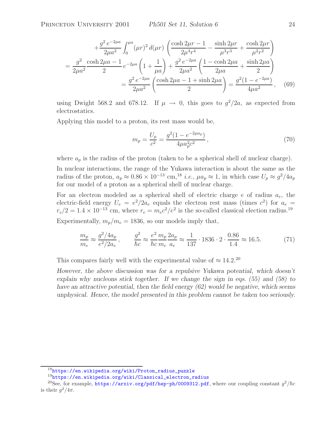$$
+\frac{g^2 e^{-2\mu a}}{2\mu a^2} \int_0^{\mu a} (\mu r)^2 d(\mu r) \left( \frac{\cosh 2\mu r - 1}{2\mu^4 r^4} - \frac{\sinh 2\mu r}{\mu^3 r^3} + \frac{\cosh 2\mu r}{\mu^2 r^2} \right)
$$
  
= 
$$
\frac{g^2}{2\mu a^2} \frac{\cosh 2\mu a - 1}{2} e^{-2\mu a} \left( 1 + \frac{1}{\mu a} \right) + \frac{g^2 e^{-2\mu a}}{2\mu a^2} \left( \frac{1 - \cosh 2\mu a}{2\mu a} + \frac{\sinh 2\mu a}{2} \right)
$$
  
= 
$$
\frac{g^2 e^{-2\mu a}}{2\mu a^2} \left( \frac{\cosh 2\mu a - 1 + \sinh 2\mu a}{2} \right) = \frac{g^2 (1 - e^{-2\mu a})}{4\mu a^2}, \quad (69)
$$

using Dwight 568.2 and 678.12. If  $\mu \rightarrow 0$ , this goes to  $g^2/2a$ , as expected from electrostatics.

Applying this model to a proton, its rest mass would be,

$$
m_p = \frac{U_p}{c^2} = \frac{g^2(1 - e^{-2\mu a_p})}{4\mu a_p^2 c^2},\tag{70}
$$

where  $a_p$  is the radius of the proton (taken to be a spherical shell of nuclear charge).

In nuclear interactions, the range of the Yukawa interaction is about the same as the radius of the proton,  $a_p \approx 0.86 \times 10^{-13}$  cm,<sup>18</sup> *i.e.*,  $\mu a_p \approx 1$ , in which case  $U_p \approx g^2/4a_p$ for our model of a proton as a spherical shell of nuclear charge.

For an electron modeled as a spherical shell of electric charge  $e$  of radius  $a_e$ , the electric-field energy  $U_e = e^2/2a_e$  equals the electron rest mass (times  $c^2$ ) for  $a_e =$  $r_e/2=1.4\times 10^{-13}$  cm, where  $r_e=m_ec^2/e^2$  is the so-called classical election radius.<sup>19</sup>

Experimentally,  $m_p/m_e = 1836$ , so our models imply that,

$$
\frac{m_p}{m_e} \approx \frac{g^2/4a_p}{e^2/2a_e}, \qquad \frac{g^2}{\hbar c} \approx \frac{e^2}{\hbar c} \frac{m_p}{m_e} \frac{2a_p}{a_e} \approx \frac{1}{137} \cdot 1836 \cdot 2 \cdot \frac{0.86}{1.4} \approx 16.5. \tag{71}
$$

This compares fairly well with the experimental value of  $\approx 14.2$ <sup>20</sup>

*However, the above discussion was for a repulsive Yukawa potential, which doesn't explain why nucleons stick together. If we change the sign in eqs. (55) and (58) to have an attractive potential, then the field energy (62) would be negative, which seems unphysical. Hence, the model presented in this problem cannot be taken too seriously.*

<sup>18</sup>https://en.wikipedia.org/wiki/Proton\_radius\_puzzle

<sup>19</sup>https://en.wikipedia.org/wiki/Classical\_electron\_radius

<sup>&</sup>lt;sup>20</sup>See, for example, https://arxiv.org/pdf/hep-ph/0009312.pdf, where our coupling constant  $g^2/\hbar c$ is their  $q^2/4\pi$ .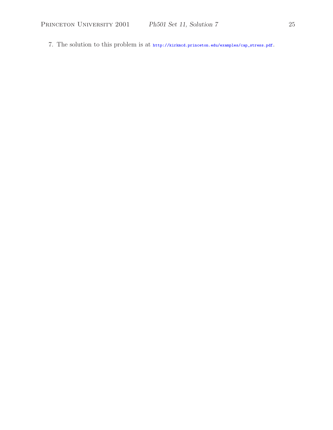PRINCETON UNIVERSITY 2001 *Ph501 Set 11, Solution 7* 25

7. The solution to this problem is at http://kirkmcd.princeton.edu/examples/cap\_stress.pdf.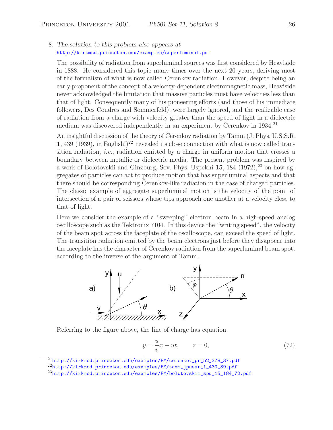# 8. *The solution to this problem also appears at* http://kirkmcd.princeton.edu/examples/superluminal.pdf

The possibility of radiation from superluminal sources was first considered by Heaviside in 1888. He considered this topic many times over the next 20 years, deriving most of the formalism of what is now called Cerenkov radiation. However, despite being an early proponent of the concept of a velocity-dependent electromagnetic mass, Heaviside never acknowledged the limitation that massive particles must have velocities less than that of light. Consequently many of his pioneering efforts (and those of his immediate followers, Des Coudres and Sommerfeld), were largely ignored, and the realizable case of radiation from a charge with velocity greater than the speed of light in a dielectric medium was discovered independently in an experiment by Cerenkov in  $1934<sup>21</sup>$ 

An insightful discussion of the theory of Čerenkov radiation by Tamm (J. Phys. U.S.S.R. **1**, 439 (1939), in English!)<sup>22</sup> revealed its close connection with what is now called transition radiation, *i.e.*, radiation emitted by a charge in uniform motion that crosses a boundary between metallic or dielectric media. The present problem was inspired by a work of Bolotovskii and Ginzburg, Sov. Phys. Uspekhi 15, 184 (1972),<sup>23</sup> on how aggregates of particles can act to produce motion that has superluminal aspects and that there should be corresponding Cerenkov-like radiation in the case of charged particles. The classic example of aggregate superluminal motion is the velocity of the point of intersection of a pair of scissors whose tips approach one another at a velocity close to that of light.

Here we consider the example of a "sweeping" electron beam in a high-speed analog oscilloscope such as the Tektronix 7104. In this device the "writing speed", the velocity of the beam spot across the faceplate of the oscilloscope, can exceed the speed of light. The transition radiation emitted by the beam electrons just before they disappear into the faceplate has the character of Cerenkov radiation from the superluminal beam spot, according to the inverse of the argument of Tamm.



Referring to the figure above, the line of charge has equation,

$$
y = -\frac{u}{v}x - ut, \qquad z = 0,\tag{72}
$$

 $^{21}$ http://kirkmcd.princeton.edu/examples/EM/cerenkov\_pr\_52\_378\_37.pdf

 $^{22}$ http://kirkmcd.princeton.edu/examples/EM/tamm\_jpussr\_1\_439\_39.pdf

 $^{23}$ http://kirkmcd.princeton.edu/examples/EM/bolotovskii\_spu\_15\_184\_72.pdf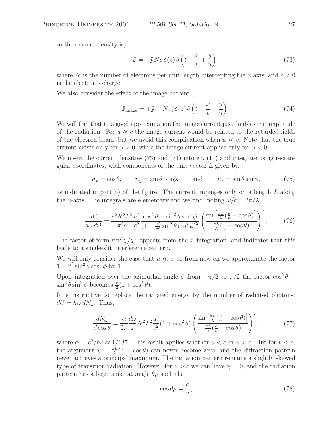so the current density is,

$$
\mathbf{J} = -\hat{\mathbf{y}}Ne\,\delta(z)\,\delta\left(t - \frac{x}{v} + \frac{y}{u}\right),\tag{73}
$$

where N is the number of electrons per unit length intercepting the x axis, and  $e < 0$ is the electron's charge.

We also consider the effect of the image current,

$$
\mathbf{J}_{\text{image}} = +\hat{\mathbf{y}}(-Ne)\,\delta(z)\,\delta\left(t - \frac{x}{v} - \frac{y}{u}\right). \tag{74}
$$

We will find that to a good approximation the image current just doubles the amplitude of the radiation. For  $u \approx c$  the image current would be related to the retarded fields of the electron beam, but we avoid this complication when  $u \ll c$ . Note that the true current exists only for  $y > 0$ , while the image current applies only for  $y < 0$ .

We insert the current densities (73) and (74) into eq. (11) and integrate using rectangular coordinates, with components of the unit vector **n**ˆ given by,

$$
n_x = \cos \theta, \qquad n_y = \sin \theta \cos \phi, \qquad \text{and} \qquad n_z = \sin \theta \sin \phi, \tag{75}
$$

as indicated in part b) of the figure. The current impinges only on a length  $L$  along the x-axis. The integrals are elementary and we find, noting  $\omega/c = 2\pi/\lambda$ ,

$$
\frac{dU}{d\omega \, d\Omega} = \frac{e^2 N^2 L^2}{\pi^2 c} \frac{u^2 \cos^2 \theta + \sin^2 \theta \sin^2 \phi}{c^2 \left(1 - \frac{u^2}{c^2} \sin^2 \theta \cos^2 \phi\right)^2} \left(\frac{\sin\left[\frac{\pi L}{\lambda} \left(\frac{c}{v} - \cos \theta\right)\right]}{\frac{\pi L}{\lambda} \left(\frac{c}{v} - \cos \theta\right)}\right)^2. \tag{76}
$$

The factor of form  $\sin^2 \chi / \chi^2$  appears from the x integration, and indicates that this leads to a single-slit interference pattern.

We will only consider the case that  $u \ll c$ , so from now on we approximate the factor  $1 - \frac{u^2}{c^2} \sin^2 \theta \cos^2 \phi$  by 1.

Upon integration over the azimuthal angle  $\phi$  from  $-\pi/2$  to  $\pi/2$  the factor  $\cos^2 \theta$  +  $\sin^2 \theta \sin^2 \phi$  becomes  $\frac{\pi}{2}(1 + \cos^2 \theta)$ .

It is instructive to replace the radiated energy by the number of radiated photons:  $dU = \hbar \omega \, dN_{\omega}$ . Thus,

$$
\frac{dN_{\omega}}{d\cos\theta} = \frac{\alpha}{2\pi} \frac{d\omega}{\omega} N^2 L^2 \frac{u^2}{c^2} (1 + \cos^2\theta) \left( \frac{\sin\left[\frac{\pi L}{\lambda} \left(\frac{c}{v} - \cos\theta\right)\right]}{\frac{\pi L}{\lambda} \left(\frac{c}{v} - \cos\theta\right)} \right)^2, \tag{77}
$$

where  $\alpha = e^2/\hbar c \approx 1/137$ . This result applies whether  $v < c$  or  $v > c$ . But for  $v < c$ , the argument  $\chi = \frac{\pi L}{\lambda} (\frac{c}{v} - \cos \theta)$  can never become zero, and the diffraction pattern<br>never achieves a principal maximum. The radiation pattern remains a slightly skewed never achieves a principal maximum. The radiation pattern remains a slightly skewed type of transition radiation. However, for  $v>c$  we can have  $\chi=0$ , and the radiation pattern has a large spike at angle  $\theta_{\tilde{C}}$  such that

$$
\cos \theta_{\tilde{C}} = \frac{c}{v},\tag{78}
$$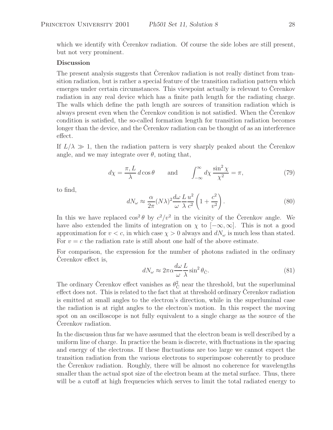which we identify with Cerenkov radiation. Of course the side lobes are still present, but not very prominent.

# **Discussion**

The present analysis suggests that Cerenkov radiation is not really distinct from transition radiation, but is rather a special feature of the transition radiation pattern which emerges under certain circumstances. This viewpoint actually is relevant to Cerenkov radiation in any real device which has a finite path length for the radiating charge. The walls which define the path length are sources of transition radiation which is always present even when the Cerenkov condition is not satisfied. When the Cerenkov condition is satisfied, the so-called formation length for transition radiation becomes longer than the device, and the Cerenkov radiation can be thought of as an interference effect.

If  $L/\lambda \gg 1$ , then the radiation pattern is very sharply peaked about the Cerenkov angle, and we may integrate over  $\theta$ , noting that,

$$
d\chi = \frac{\pi}{\lambda} \, d\cos\theta \qquad \text{and} \qquad \int_{-\infty}^{\infty} d\chi \, \frac{\sin^2\chi}{\chi^2} = \pi,\tag{79}
$$

to find,

$$
dN_{\omega} \approx \frac{\alpha}{2\pi} (N\lambda)^2 \frac{d\omega}{\omega} \frac{L}{\lambda} \frac{u^2}{c^2} \left( 1 + \frac{c^2}{v^2} \right). \tag{80}
$$

In this we have replaced  $\cos^2 \theta$  by  $c^2/v^2$  in the vicinity of the Čerenkov angle. We have also extended the limits of integration on  $\chi$  to  $[-\infty, \infty]$ . This is not a good approximation for  $v < c$ , in which case  $\chi > 0$  always and  $dN_{\omega}$  is much less than stated. For  $v = c$  the radiation rate is still about one half of the above estimate.

For comparison, the expression for the number of photons radiated in the ordinary Cerenkov effect is,

$$
dN_{\omega} \approx 2\pi \alpha \frac{d\omega}{\omega} \frac{L}{\lambda} \sin^2 \theta_{\check{C}}.
$$
 (81)

The ordinary Čerenkov effect vanishes as  $\theta_{\check{C}}^2$  near the threshold, but the superluminal effect does not. This is related to the fact that at threshold ordinary Cerenkov radiation is emitted at small angles to the electron's direction, while in the superluminal case the radiation is at right angles to the electron's motion. In this respect the moving spot on an oscilloscope is not fully equivalent to a single charge as the source of the Cerenkov radiation.

In the discussion thus far we have assumed that the electron beam is well described by a uniform line of charge. In practice the beam is discrete, with fluctuations in the spacing and energy of the electrons. If these fluctuations are too large we cannot expect the transition radiation from the various electrons to superimpose coherently to produce the Cerenkov radiation. Roughly, there will be almost no coherence for wavelengths smaller than the actual spot size of the electron beam at the metal surface. Thus, there will be a cutoff at high frequencies which serves to limit the total radiated energy to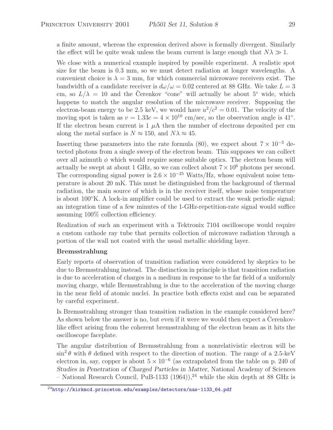a finite amount, whereas the expression derived above is formally divergent. Similarly the effect will be quite weak unless the beam current is large enough that  $N\lambda \gg 1$ .

We close with a numerical example inspired by possible experiment. A realistic spot size for the beam is 0.3 mm, so we must detect radiation at longer wavelengths. A convenient choice is  $\lambda = 3$  mm, for which commercial microwave receivers exist. The bandwidth of a candidate receiver is  $d\omega/\omega = 0.02$  centered at 88 GHz. We take  $L = 3$ cm, so  $L/\lambda = 10$  and the Cerenkov "cone" will actually be about 5° wide, which happens to match the angular resolution of the microwave receiver. Supposing the electron-beam energy to be 2.5 keV, we would have  $u^2/c^2 = 0.01$ . The velocity of the moving spot is taken as  $v = 1.33c = 4 \times 10^{10}$  cm/sec, so the observation angle is 41°. If the electron beam current is  $1 \mu A$  then the number of electrons deposited per cm along the metal surface is  $N \approx 150$ , and  $N\lambda \approx 45$ .

Inserting these parameters into the rate formula (80), we expect about  $7 \times 10^{-3}$  detected photons from a single sweep of the electron beam. This supposes we can collect over all azimuth  $\phi$  which would require some suitable optics. The electron beam will actually be swept at about 1 GHz, so we can collect about  $7 \times 10^6$  photons per second. The corresponding signal power is  $2.6 \times 10^{-25}$  Watts/Hz, whose equivalent noise temperature is about 20 mK. This must be distinguished from the background of thermal radiation, the main source of which is in the receiver itself, whose noise temperature is about  $100\degree K$ . A lock-in amplifier could be used to extract the weak periodic signal; an integration time of a few minutes of the 1-GHz-repetition-rate signal would suffice assuming 100% collection efficiency.

Realization of such an experiment with a Tektronix 7104 oscilloscope would require a custom cathode ray tube that permits collection of microwave radiation through a portion of the wall not coated with the usual metallic shielding layer.

# **Bremsstrahlung**

Early reports of observation of transition radiation were considered by skeptics to be due to Bremsstrahlung instead. The distinction in principle is that transition radiation is due to acceleration of charges in a medium in response to the far field of a uniformly moving charge, while Bremsstrahlung is due to the acceleration of the moving charge in the near field of atomic nuclei. In practice both effects exist and can be separated by careful experiment.

Is Bremsstrahlung stronger than transition radiation in the example considered here? As shown below the answer is no, but even if it were we would then expect a Cerenkovlike effect arising from the coherent bremsstrahlung of the electron beam as it hits the oscilloscope faceplate.

The angular distribution of Bremsstrahlung from a nonrelativistic electron will be  $\sin^2 \theta$  with  $\theta$  defined with respect to the direction of motion. The range of a 2.5-keV electron in, say, copper is about  $5 \times 10^{-6}$  (as extrapolated from the table on p. 240 of *Studies in Penetration of Charged Particles in Matter*, National Academy of Sciences – National Research Council, PuB-1133 (1964)),<sup>24</sup> while the skin depth at 88 GHz is

<sup>24</sup>http://kirkmcd.princeton.edu/examples/detectors/nas-1133\_64.pdf